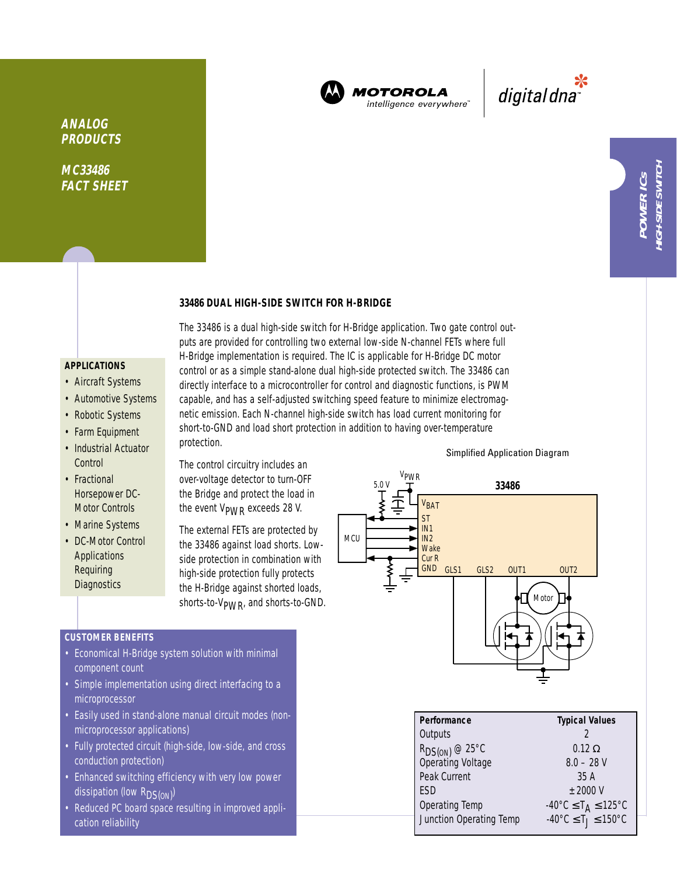

**MOTOROLA** intelligence everywhere

پ<br>digital dna

**MC33486 FACT SHEET**

### **33486 DUAL HIGH-SIDE SWITCH FOR H-BRIDGE**

# **APPLICATIONS**

- Aircraft Systems
- Automotive Systems
- Robotic Systems
- Farm Equipment
- Industrial Actuator **Control**
- Fractional Horsepower DC-Motor Controls
- Marine Systems
- DC-Motor Control **Applications** Requiring **Diagnostics**

The 33486 is a dual high-side switch for H-Bridge application. Two gate control outputs are provided for controlling two external low-side N-channel FETs where full H-Bridge implementation is required. The IC is applicable for H-Bridge DC motor control or as a simple stand-alone dual high-side protected switch. The 33486 can directly interface to a microcontroller for control and diagnostic functions, is PWM capable, and has a self-adjusted switching speed feature to minimize electromagnetic emission. Each N-channel high-side switch has load current monitoring for short-to-GND and load short protection in addition to having over-temperature protection.

The control circuitry includes an over-voltage detector to turn-OFF the Bridge and protect the load in the event  $V_{\text{PWR}}$  exceeds 28 V.

The external FETs are protected by the 33486 against load shorts. Lowside protection in combination with high-side protection fully protects the H-Bridge against shorted loads, shorts-to-V<sub>PWR</sub>, and shorts-to-GND.

### **CUSTOMER BENEFITS**

- Economical H-Bridge system solution with minimal component count
- Simple implementation using direct interfacing to a microprocessor
- Easily used in stand-alone manual circuit modes (nonmicroprocessor applications)
- Fully protected circuit (high-side, low-side, and cross conduction protection)
- Enhanced switching efficiency with very low power dissipation (low R<sub>DS(ON)</sub>)
- Reduced PC board space resulting in improved application reliability



| Performance             | <b>Typical Values</b>                              |  |  |
|-------------------------|----------------------------------------------------|--|--|
| Outputs                 |                                                    |  |  |
| $R_{DS(ON)}$ @ 25°C     | $0.12 \Omega$                                      |  |  |
| Operating Voltage       | $8.0 - 28$ V                                       |  |  |
| Peak Current            | 35 A                                               |  |  |
| <b>FSD</b>              | $+2000V$                                           |  |  |
| Operating Temp          | $-40^{\circ}$ C $\leq$ T <sub>A</sub> $\leq$ 125°C |  |  |
| Junction Operating Temp | $-40^{\circ}$ C $\leq T_1 \leq 150^{\circ}$ C      |  |  |

### Simplified Application Diagram